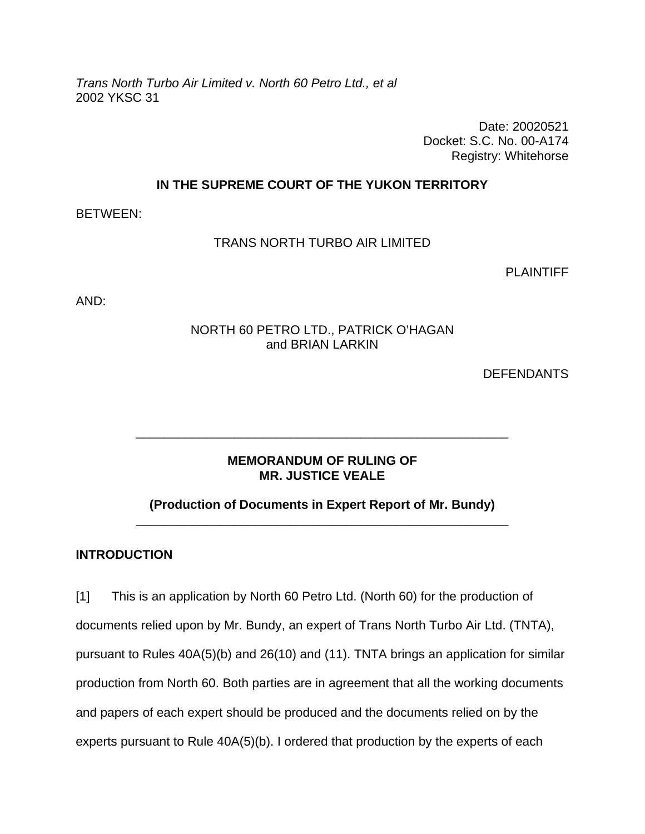*Trans North Turbo Air Limited v. North 60 Petro Ltd., et al*  2002 YKSC 31

> Date: 20020521 Docket: S.C. No. 00-A174 Registry: Whitehorse

## **IN THE SUPREME COURT OF THE YUKON TERRITORY**

BETWEEN:

## TRANS NORTH TURBO AIR LIMITED

PLAINTIFF

AND:

## NORTH 60 PETRO LTD., PATRICK O'HAGAN and BRIAN LARKIN

**DEFENDANTS** 

## **MEMORANDUM OF RULING OF MR. JUSTICE VEALE**

\_\_\_\_\_\_\_\_\_\_\_\_\_\_\_\_\_\_\_\_\_\_\_\_\_\_\_\_\_\_\_\_\_\_\_\_\_\_\_\_\_\_\_\_\_\_\_\_\_\_\_\_\_

## **(Production of Documents in Expert Report of Mr. Bundy)**  \_\_\_\_\_\_\_\_\_\_\_\_\_\_\_\_\_\_\_\_\_\_\_\_\_\_\_\_\_\_\_\_\_\_\_\_\_\_\_\_\_\_\_\_\_\_\_\_\_\_\_\_\_

## **INTRODUCTION**

[1] This is an application by North 60 Petro Ltd. (North 60) for the production of documents relied upon by Mr. Bundy, an expert of Trans North Turbo Air Ltd. (TNTA), pursuant to Rules 40A(5)(b) and 26(10) and (11). TNTA brings an application for similar production from North 60. Both parties are in agreement that all the working documents and papers of each expert should be produced and the documents relied on by the experts pursuant to Rule 40A(5)(b). I ordered that production by the experts of each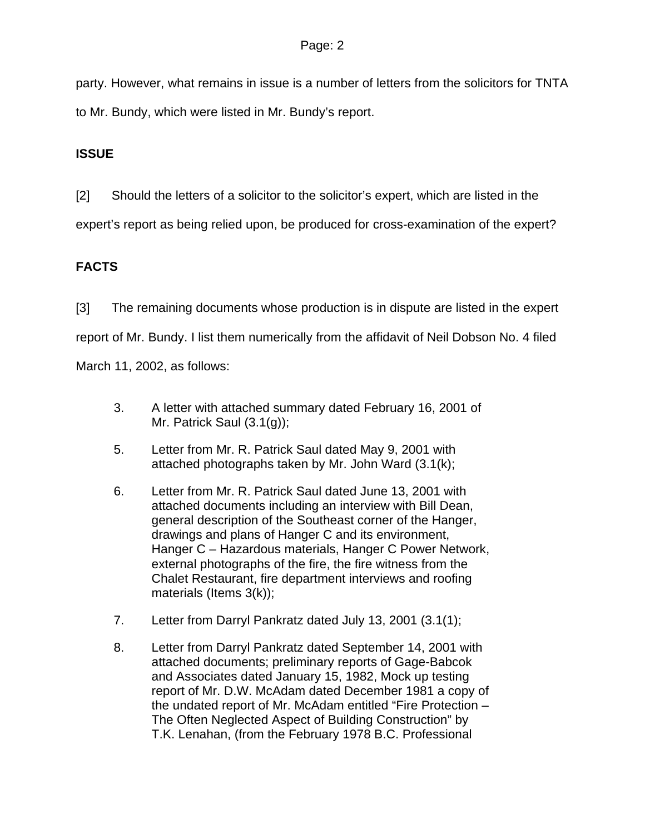party. However, what remains in issue is a number of letters from the solicitors for TNTA to Mr. Bundy, which were listed in Mr. Bundy's report.

# **ISSUE**

[2] Should the letters of a solicitor to the solicitor's expert, which are listed in the

expert's report as being relied upon, be produced for cross-examination of the expert?

# **FACTS**

[3] The remaining documents whose production is in dispute are listed in the expert report of Mr. Bundy. I list them numerically from the affidavit of Neil Dobson No. 4 filed

March 11, 2002, as follows:

- 3. A letter with attached summary dated February 16, 2001 of Mr. Patrick Saul (3.1(g));
- 5. Letter from Mr. R. Patrick Saul dated May 9, 2001 with attached photographs taken by Mr. John Ward (3.1(k);
- 6. Letter from Mr. R. Patrick Saul dated June 13, 2001 with attached documents including an interview with Bill Dean, general description of the Southeast corner of the Hanger, drawings and plans of Hanger C and its environment, Hanger C – Hazardous materials, Hanger C Power Network, external photographs of the fire, the fire witness from the Chalet Restaurant, fire department interviews and roofing materials (Items 3(k));
- 7. Letter from Darryl Pankratz dated July 13, 2001 (3.1(1);
- 8. Letter from Darryl Pankratz dated September 14, 2001 with attached documents; preliminary reports of Gage-Babcok and Associates dated January 15, 1982, Mock up testing report of Mr. D.W. McAdam dated December 1981 a copy of the undated report of Mr. McAdam entitled "Fire Protection – The Often Neglected Aspect of Building Construction" by T.K. Lenahan, (from the February 1978 B.C. Professional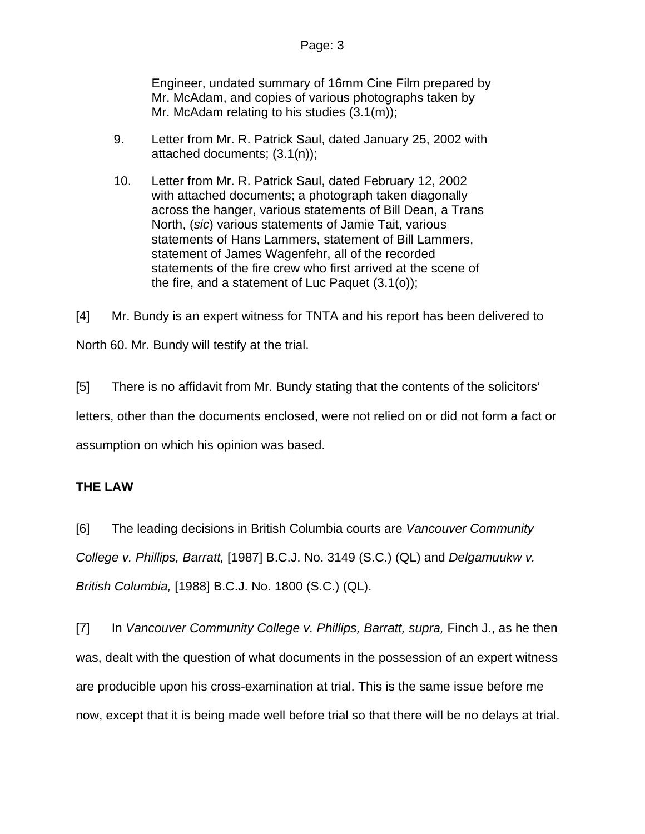Engineer, undated summary of 16mm Cine Film prepared by Mr. McAdam, and copies of various photographs taken by Mr. McAdam relating to his studies (3.1(m));

- 9. Letter from Mr. R. Patrick Saul, dated January 25, 2002 with attached documents; (3.1(n));
- 10. Letter from Mr. R. Patrick Saul, dated February 12, 2002 with attached documents; a photograph taken diagonally across the hanger, various statements of Bill Dean, a Trans North, (*sic*) various statements of Jamie Tait, various statements of Hans Lammers, statement of Bill Lammers, statement of James Wagenfehr, all of the recorded statements of the fire crew who first arrived at the scene of the fire, and a statement of Luc Paquet (3.1(o));

[4] Mr. Bundy is an expert witness for TNTA and his report has been delivered to North 60. Mr. Bundy will testify at the trial.

[5] There is no affidavit from Mr. Bundy stating that the contents of the solicitors' letters, other than the documents enclosed, were not relied on or did not form a fact or assumption on which his opinion was based.

# **THE LAW**

[6] The leading decisions in British Columbia courts are *Vancouver Community College v. Phillips, Barratt,* [1987] B.C.J. No. 3149 (S.C.) (QL) and *Delgamuukw v. British Columbia,* [1988] B.C.J. No. 1800 (S.C.) (QL).

[7] In *Vancouver Community College v. Phillips, Barratt, supra, Finch J., as he then* was, dealt with the question of what documents in the possession of an expert witness are producible upon his cross-examination at trial. This is the same issue before me now, except that it is being made well before trial so that there will be no delays at trial.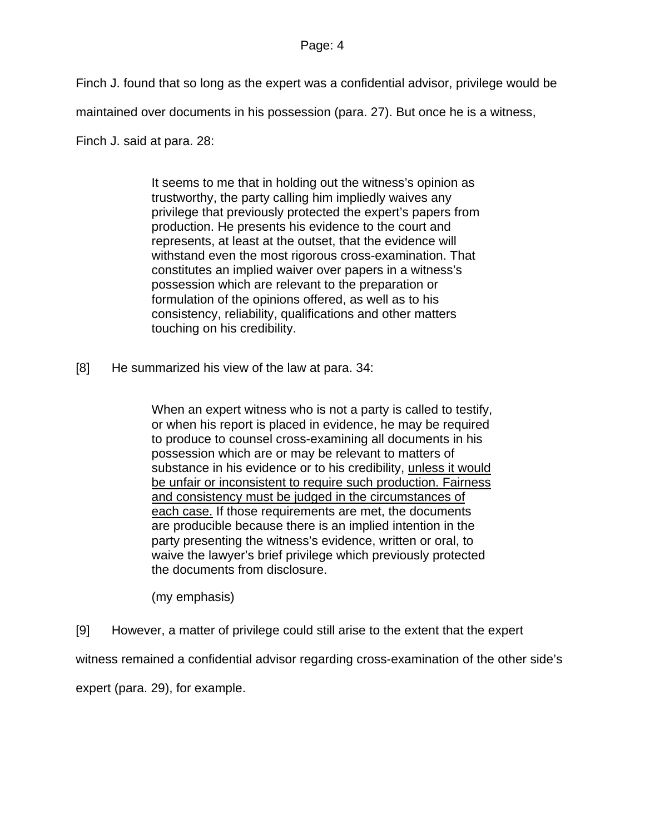### Page: 4

Finch J. found that so long as the expert was a confidential advisor, privilege would be

maintained over documents in his possession (para. 27). But once he is a witness,

Finch J. said at para. 28:

It seems to me that in holding out the witness's opinion as trustworthy, the party calling him impliedly waives any privilege that previously protected the expert's papers from production. He presents his evidence to the court and represents, at least at the outset, that the evidence will withstand even the most rigorous cross-examination. That constitutes an implied waiver over papers in a witness's possession which are relevant to the preparation or formulation of the opinions offered, as well as to his consistency, reliability, qualifications and other matters touching on his credibility.

[8] He summarized his view of the law at para. 34:

When an expert witness who is not a party is called to testify, or when his report is placed in evidence, he may be required to produce to counsel cross-examining all documents in his possession which are or may be relevant to matters of substance in his evidence or to his credibility, unless it would be unfair or inconsistent to require such production. Fairness and consistency must be judged in the circumstances of each case. If those requirements are met, the documents are producible because there is an implied intention in the party presenting the witness's evidence, written or oral, to waive the lawyer's brief privilege which previously protected the documents from disclosure.

(my emphasis)

[9] However, a matter of privilege could still arise to the extent that the expert

witness remained a confidential advisor regarding cross-examination of the other side's

expert (para. 29), for example.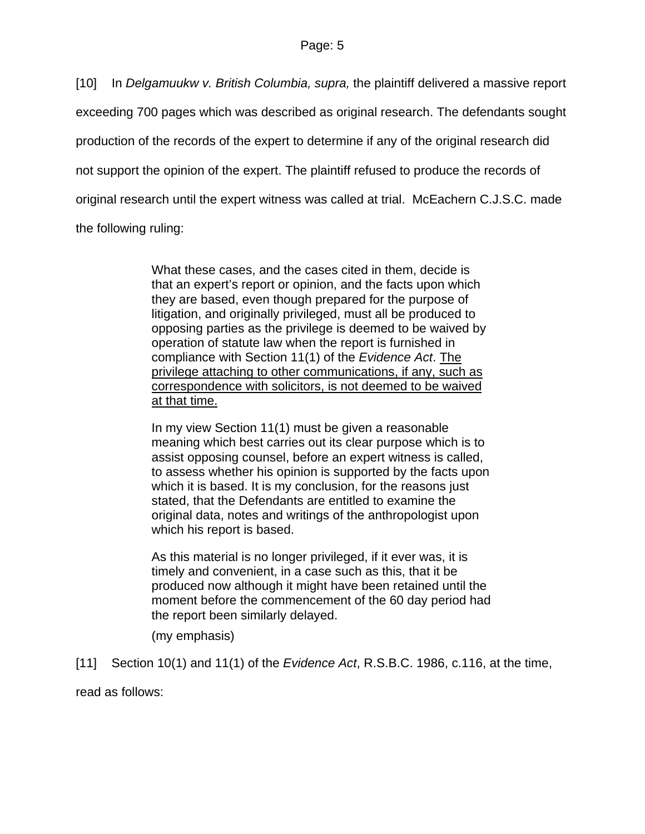[10] In *Delgamuukw v. British Columbia, supra,* the plaintiff delivered a massive report exceeding 700 pages which was described as original research. The defendants sought production of the records of the expert to determine if any of the original research did not support the opinion of the expert. The plaintiff refused to produce the records of original research until the expert witness was called at trial. McEachern C.J.S.C. made the following ruling:

> What these cases, and the cases cited in them, decide is that an expert's report or opinion, and the facts upon which they are based, even though prepared for the purpose of litigation, and originally privileged, must all be produced to opposing parties as the privilege is deemed to be waived by operation of statute law when the report is furnished in compliance with Section 11(1) of the *Evidence Act*. The privilege attaching to other communications, if any, such as correspondence with solicitors, is not deemed to be waived at that time.

> In my view Section 11(1) must be given a reasonable meaning which best carries out its clear purpose which is to assist opposing counsel, before an expert witness is called, to assess whether his opinion is supported by the facts upon which it is based. It is my conclusion, for the reasons just stated, that the Defendants are entitled to examine the original data, notes and writings of the anthropologist upon which his report is based.

> As this material is no longer privileged, if it ever was, it is timely and convenient, in a case such as this, that it be produced now although it might have been retained until the moment before the commencement of the 60 day period had the report been similarly delayed.

(my emphasis)

[11] Section 10(1) and 11(1) of the *Evidence Act*, R.S.B.C. 1986, c.116, at the time,

read as follows: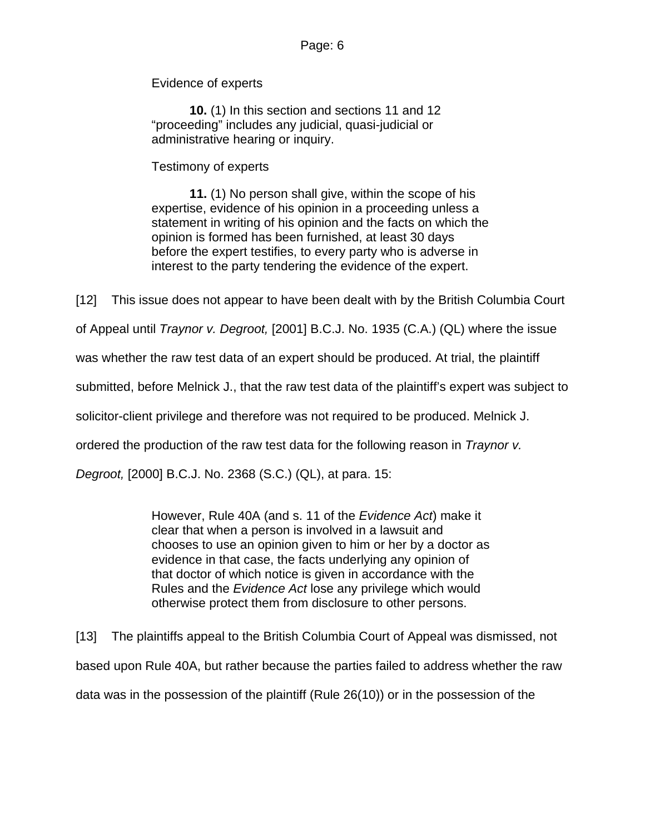Evidence of experts

**10.** (1) In this section and sections 11 and 12 "proceeding" includes any judicial, quasi-judicial or administrative hearing or inquiry.

Testimony of experts

**11.** (1) No person shall give, within the scope of his expertise, evidence of his opinion in a proceeding unless a statement in writing of his opinion and the facts on which the opinion is formed has been furnished, at least 30 days before the expert testifies, to every party who is adverse in interest to the party tendering the evidence of the expert.

[12] This issue does not appear to have been dealt with by the British Columbia Court

of Appeal until *Traynor v. Degroot,* [2001] B.C.J. No. 1935 (C.A.) (QL) where the issue

was whether the raw test data of an expert should be produced. At trial, the plaintiff

submitted, before Melnick J., that the raw test data of the plaintiff's expert was subject to

solicitor-client privilege and therefore was not required to be produced. Melnick J.

ordered the production of the raw test data for the following reason in *Traynor v.* 

*Degroot,* [2000] B.C.J. No. 2368 (S.C.) (QL), at para. 15:

However, Rule 40A (and s. 11 of the *Evidence Act*) make it clear that when a person is involved in a lawsuit and chooses to use an opinion given to him or her by a doctor as evidence in that case, the facts underlying any opinion of that doctor of which notice is given in accordance with the Rules and the *Evidence Act* lose any privilege which would otherwise protect them from disclosure to other persons.

[13] The plaintiffs appeal to the British Columbia Court of Appeal was dismissed, not based upon Rule 40A, but rather because the parties failed to address whether the raw data was in the possession of the plaintiff (Rule 26(10)) or in the possession of the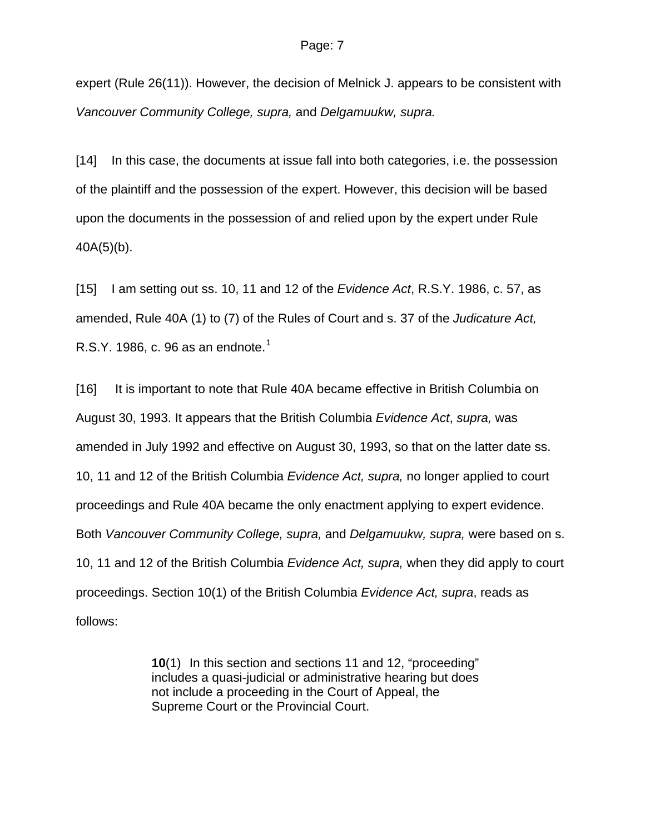expert (Rule 26(11)). However, the decision of Melnick J. appears to be consistent with *Vancouver Community College, supra,* and *Delgamuukw, supra.*

[14] In this case, the documents at issue fall into both categories, i.e. the possession of the plaintiff and the possession of the expert. However, this decision will be based upon the documents in the possession of and relied upon by the expert under Rule  $40A(5)(b)$ .

[15] I am setting out ss. 10, 11 and 12 of the *Evidence Act*, R.S.Y. 1986, c. 57, as amended, Rule 40A (1) to (7) of the Rules of Court and s. 37 of the *Judicature Act,*  R.S.Y. [1](#page-12-0)986, c. 96 as an endnote.<sup>1</sup>

[16] It is important to note that Rule 40A became effective in British Columbia on August 30, 1993. It appears that the British Columbia *Evidence Act*, *supra,* was amended in July 1992 and effective on August 30, 1993, so that on the latter date ss. 10, 11 and 12 of the British Columbia *Evidence Act, supra,* no longer applied to court proceedings and Rule 40A became the only enactment applying to expert evidence. Both *Vancouver Community College, supra,* and *Delgamuukw, supra,* were based on s. 10, 11 and 12 of the British Columbia *Evidence Act, supra,* when they did apply to court proceedings. Section 10(1) of the British Columbia *Evidence Act, supra*, reads as follows:

> **10**(1) In this section and sections 11 and 12, "proceeding" includes a quasi-judicial or administrative hearing but does not include a proceeding in the Court of Appeal, the Supreme Court or the Provincial Court.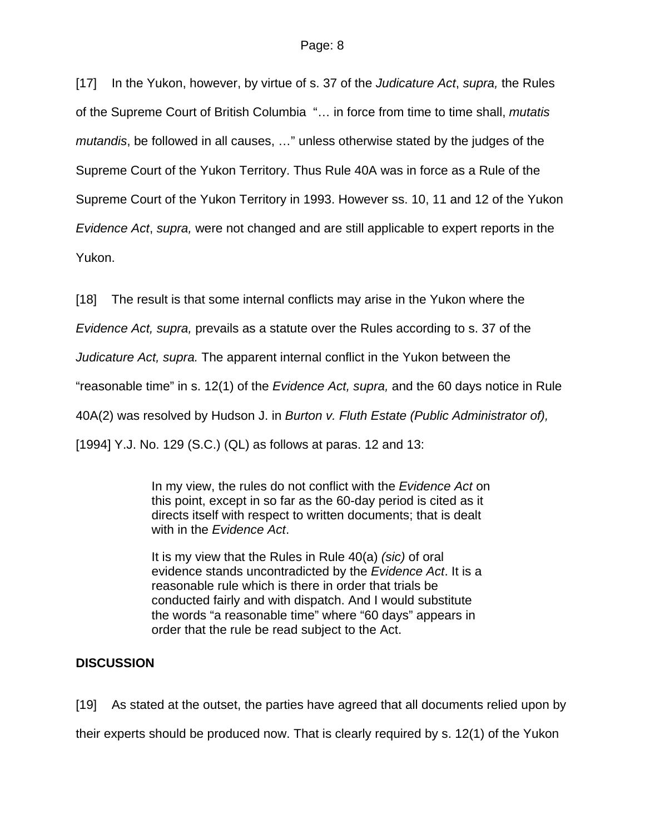[17] In the Yukon, however, by virtue of s. 37 of the *Judicature Act*, *supra,* the Rules of the Supreme Court of British Columbia "… in force from time to time shall, *mutatis mutandis*, be followed in all causes, …" unless otherwise stated by the judges of the Supreme Court of the Yukon Territory. Thus Rule 40A was in force as a Rule of the Supreme Court of the Yukon Territory in 1993. However ss. 10, 11 and 12 of the Yukon *Evidence Act*, *supra,* were not changed and are still applicable to expert reports in the Yukon.

[18] The result is that some internal conflicts may arise in the Yukon where the

*Evidence Act, supra,* prevails as a statute over the Rules according to s. 37 of the

*Judicature Act, supra.* The apparent internal conflict in the Yukon between the

"reasonable time" in s. 12(1) of the *Evidence Act, supra,* and the 60 days notice in Rule

40A(2) was resolved by Hudson J. in *Burton v. Fluth Estate (Public Administrator of),* 

[1994] Y.J. No. 129 (S.C.) (QL) as follows at paras. 12 and 13:

In my view, the rules do not conflict with the *Evidence Act* on this point, except in so far as the 60-day period is cited as it directs itself with respect to written documents; that is dealt with in the *Evidence Act*.

It is my view that the Rules in Rule 40(a) *(sic)* of oral evidence stands uncontradicted by the *Evidence Act*. It is a reasonable rule which is there in order that trials be conducted fairly and with dispatch. And I would substitute the words "a reasonable time" where "60 days" appears in order that the rule be read subject to the Act.

# **DISCUSSION**

[19] As stated at the outset, the parties have agreed that all documents relied upon by

their experts should be produced now. That is clearly required by s. 12(1) of the Yukon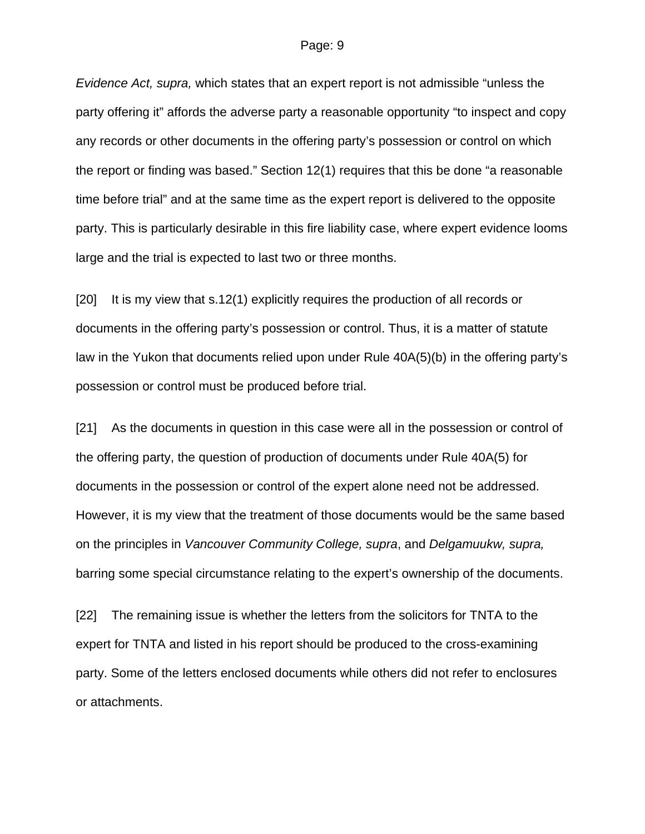*Evidence Act, supra,* which states that an expert report is not admissible "unless the party offering it" affords the adverse party a reasonable opportunity "to inspect and copy any records or other documents in the offering party's possession or control on which the report or finding was based." Section 12(1) requires that this be done "a reasonable time before trial" and at the same time as the expert report is delivered to the opposite party. This is particularly desirable in this fire liability case, where expert evidence looms large and the trial is expected to last two or three months.

[20] It is my view that s.12(1) explicitly requires the production of all records or documents in the offering party's possession or control. Thus, it is a matter of statute law in the Yukon that documents relied upon under Rule 40A(5)(b) in the offering party's possession or control must be produced before trial.

[21] As the documents in question in this case were all in the possession or control of the offering party, the question of production of documents under Rule 40A(5) for documents in the possession or control of the expert alone need not be addressed. However, it is my view that the treatment of those documents would be the same based on the principles in *Vancouver Community College, supra*, and *Delgamuukw, supra,* barring some special circumstance relating to the expert's ownership of the documents.

[22] The remaining issue is whether the letters from the solicitors for TNTA to the expert for TNTA and listed in his report should be produced to the cross-examining party. Some of the letters enclosed documents while others did not refer to enclosures or attachments.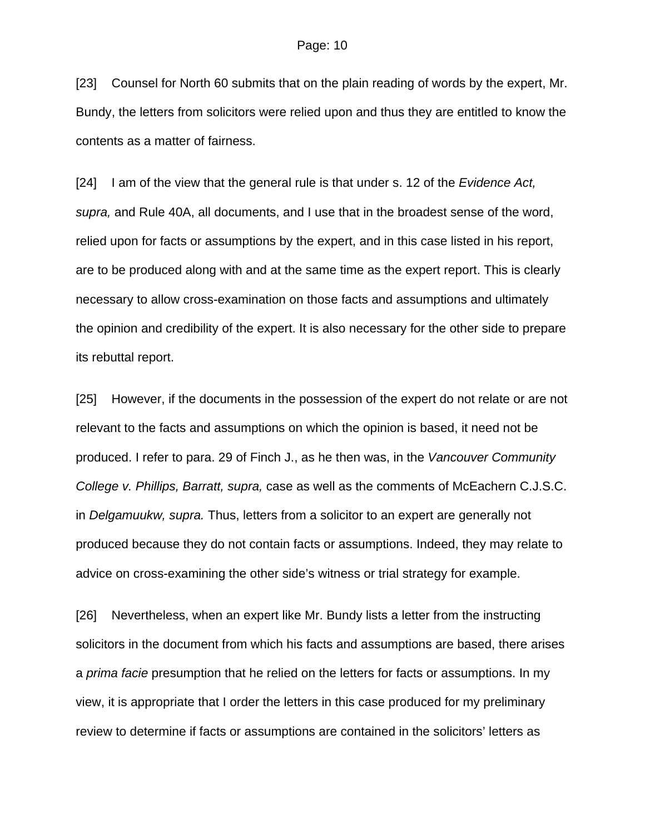[23] Counsel for North 60 submits that on the plain reading of words by the expert, Mr. Bundy, the letters from solicitors were relied upon and thus they are entitled to know the contents as a matter of fairness.

[24] I am of the view that the general rule is that under s. 12 of the *Evidence Act, supra,* and Rule 40A, all documents, and I use that in the broadest sense of the word, relied upon for facts or assumptions by the expert, and in this case listed in his report, are to be produced along with and at the same time as the expert report. This is clearly necessary to allow cross-examination on those facts and assumptions and ultimately the opinion and credibility of the expert. It is also necessary for the other side to prepare its rebuttal report.

[25] However, if the documents in the possession of the expert do not relate or are not relevant to the facts and assumptions on which the opinion is based, it need not be produced. I refer to para. 29 of Finch J., as he then was, in the *Vancouver Community College v. Phillips, Barratt, supra,* case as well as the comments of McEachern C.J.S.C. in *Delgamuukw, supra.* Thus, letters from a solicitor to an expert are generally not produced because they do not contain facts or assumptions. Indeed, they may relate to advice on cross-examining the other side's witness or trial strategy for example.

[26] Nevertheless, when an expert like Mr. Bundy lists a letter from the instructing solicitors in the document from which his facts and assumptions are based, there arises a *prima facie* presumption that he relied on the letters for facts or assumptions. In my view, it is appropriate that I order the letters in this case produced for my preliminary review to determine if facts or assumptions are contained in the solicitors' letters as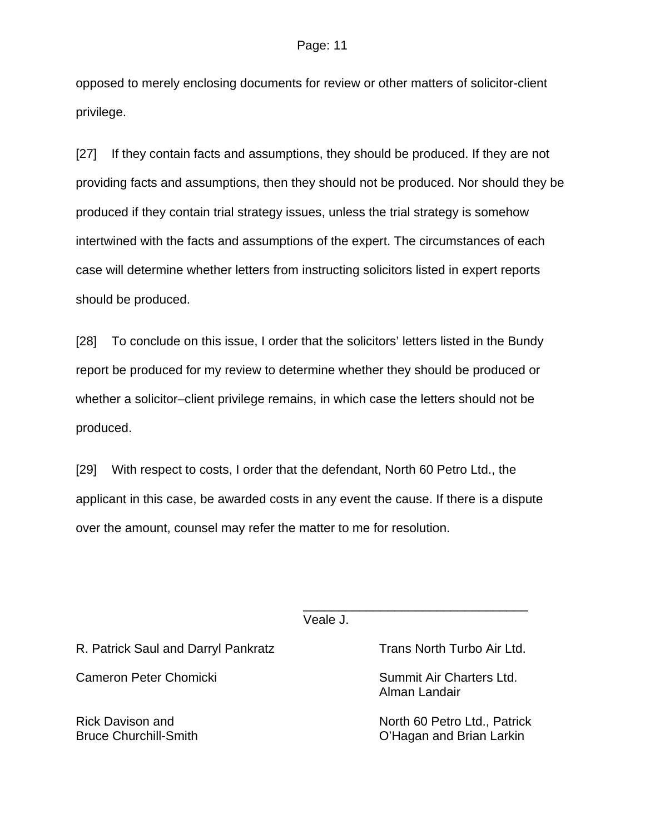opposed to merely enclosing documents for review or other matters of solicitor-client privilege.

[27] If they contain facts and assumptions, they should be produced. If they are not providing facts and assumptions, then they should not be produced. Nor should they be produced if they contain trial strategy issues, unless the trial strategy is somehow intertwined with the facts and assumptions of the expert. The circumstances of each case will determine whether letters from instructing solicitors listed in expert reports should be produced.

[28] To conclude on this issue, I order that the solicitors' letters listed in the Bundy report be produced for my review to determine whether they should be produced or whether a solicitor–client privilege remains, in which case the letters should not be produced.

[29] With respect to costs, I order that the defendant, North 60 Petro Ltd., the applicant in this case, be awarded costs in any event the cause. If there is a dispute over the amount, counsel may refer the matter to me for resolution.

Veale J.

 $\frac{1}{\sqrt{2\pi}}$  , which is a set of the set of the set of the set of the set of the set of the set of the set of the set of the set of the set of the set of the set of the set of the set of the set of the set of the set of

R. Patrick Saul and Darryl Pankratz Trans North Turbo Air Ltd.

Cameron Peter Chomicki Summit Air Charters Ltd.

Alman Landair

Rick Davison and North 60 Petro Ltd., Patrick Bruce Churchill-Smith C'Hagan and Brian Larkin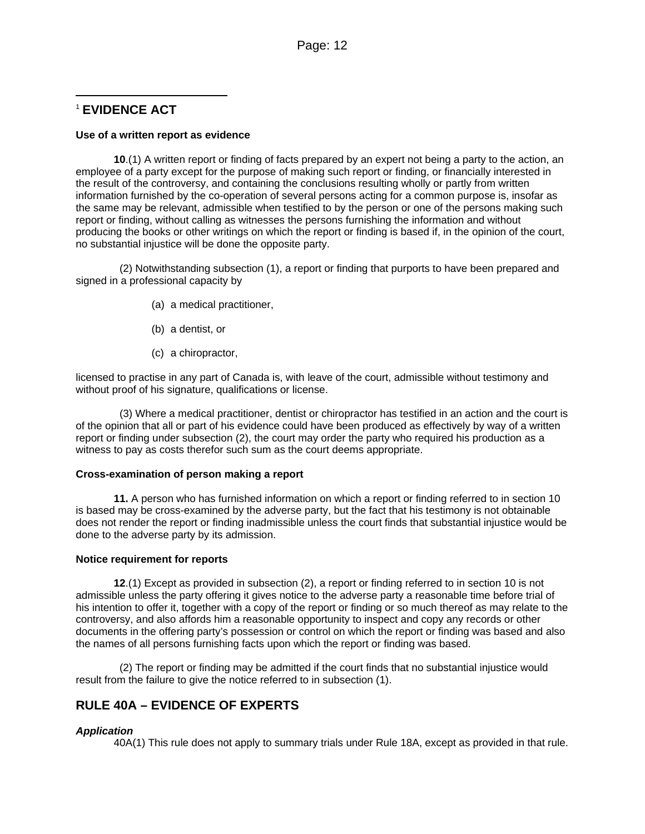## l <sup>1</sup> **EVIDENCE ACT**

#### **Use of a written report as evidence**

**10**.(1) A written report or finding of facts prepared by an expert not being a party to the action, an employee of a party except for the purpose of making such report or finding, or financially interested in the result of the controversy, and containing the conclusions resulting wholly or partly from written information furnished by the co-operation of several persons acting for a common purpose is, insofar as the same may be relevant, admissible when testified to by the person or one of the persons making such report or finding, without calling as witnesses the persons furnishing the information and without producing the books or other writings on which the report or finding is based if, in the opinion of the court, no substantial injustice will be done the opposite party.

 (2) Notwithstanding subsection (1), a report or finding that purports to have been prepared and signed in a professional capacity by

- (a) a medical practitioner,
- (b) a dentist, or
- (c) a chiropractor,

licensed to practise in any part of Canada is, with leave of the court, admissible without testimony and without proof of his signature, qualifications or license.

 (3) Where a medical practitioner, dentist or chiropractor has testified in an action and the court is of the opinion that all or part of his evidence could have been produced as effectively by way of a written report or finding under subsection (2), the court may order the party who required his production as a witness to pay as costs therefor such sum as the court deems appropriate.

#### **Cross-examination of person making a report**

**11.** A person who has furnished information on which a report or finding referred to in section 10 is based may be cross-examined by the adverse party, but the fact that his testimony is not obtainable does not render the report or finding inadmissible unless the court finds that substantial injustice would be done to the adverse party by its admission.

#### **Notice requirement for reports**

 **12**.(1) Except as provided in subsection (2), a report or finding referred to in section 10 is not admissible unless the party offering it gives notice to the adverse party a reasonable time before trial of his intention to offer it, together with a copy of the report or finding or so much thereof as may relate to the controversy, and also affords him a reasonable opportunity to inspect and copy any records or other documents in the offering party's possession or control on which the report or finding was based and also the names of all persons furnishing facts upon which the report or finding was based.

 (2) The report or finding may be admitted if the court finds that no substantial injustice would result from the failure to give the notice referred to in subsection (1).

## **RULE 40A – EVIDENCE OF EXPERTS**

### *Application*

40A(1) This rule does not apply to summary trials under Rule 18A, except as provided in that rule.